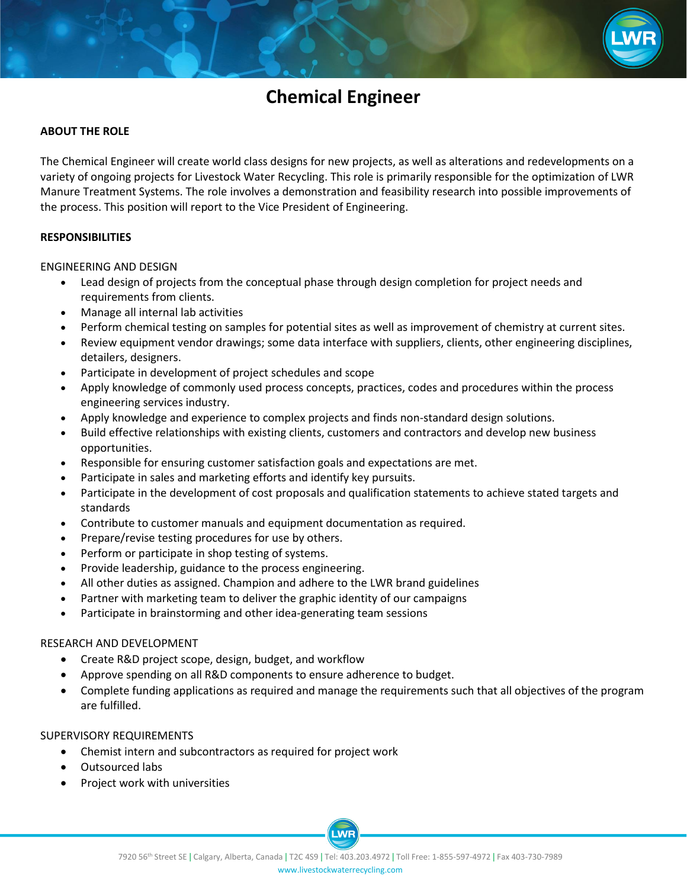

# **Chemical Engineer**

### **ABOUT THE ROLE**

The Chemical Engineer will create world class designs for new projects, as well as alterations and redevelopments on a variety of ongoing projects for Livestock Water Recycling. This role is primarily responsible for the optimization of LWR Manure Treatment Systems. The role involves a demonstration and feasibility research into possible improvements of the process. This position will report to the Vice President of Engineering.

#### **RESPONSIBILITIES**

ENGINEERING AND DESIGN

- Lead design of projects from the conceptual phase through design completion for project needs and requirements from clients.
- Manage all internal lab activities
- Perform chemical testing on samples for potential sites as well as improvement of chemistry at current sites.
- Review equipment vendor drawings; some data interface with suppliers, clients, other engineering disciplines, detailers, designers.
- Participate in development of project schedules and scope
- Apply knowledge of commonly used process concepts, practices, codes and procedures within the process engineering services industry.
- Apply knowledge and experience to complex projects and finds non-standard design solutions.
- Build effective relationships with existing clients, customers and contractors and develop new business opportunities.
- Responsible for ensuring customer satisfaction goals and expectations are met.
- Participate in sales and marketing efforts and identify key pursuits.
- Participate in the development of cost proposals and qualification statements to achieve stated targets and standards
- Contribute to customer manuals and equipment documentation as required.
- Prepare/revise testing procedures for use by others.
- Perform or participate in shop testing of systems.
- Provide leadership, guidance to the process engineering.
- All other duties as assigned. Champion and adhere to the LWR brand guidelines
- Partner with marketing team to deliver the graphic identity of our campaigns
- Participate in brainstorming and other idea-generating team sessions

#### RESEARCH AND DEVELOPMENT

- Create R&D project scope, design, budget, and workflow
- Approve spending on all R&D components to ensure adherence to budget.
- Complete funding applications as required and manage the requirements such that all objectives of the program are fulfilled.

#### SUPERVISORY REQUIREMENTS

- Chemist intern and subcontractors as required for project work
- Outsourced labs
- Project work with universities